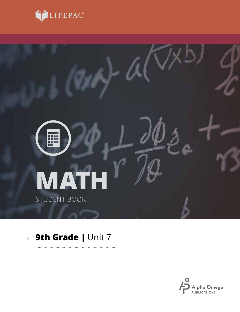



. . . . . . . . . .

# **9th Grade |** Unit 7

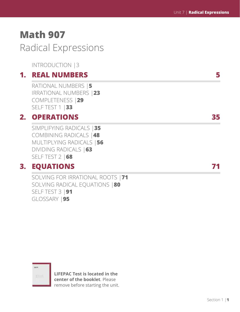# **Math 907**

# Radical Expressions

INTRODUCTION |3

## **1. REAL NUMBERS 5**

RATIONAL NUMBERS |**5** IRRATIONAL NUMBERS |**23** COMPLETENESS |**29** SELF TEST 1 |**33**

## **2. OPERATIONS 35**

SIMPLIFYING RADICALS |**35** COMBINING RADICALS |**48** MULTIPLYING RADICALS |**56** DIVIDING RADICALS |**63** SELF TEST 2 |**68**

## **3. EQUATIONS 71**

SOLVING FOR IRRATIONAL ROOTS |**71** SOLVING RADICAL EQUATIONS |**80** SELF TEST 3 |**91** GLOSSARY |**95**



**LIFEPAC Test is located in the center of the booklet**. Please remove before starting the unit.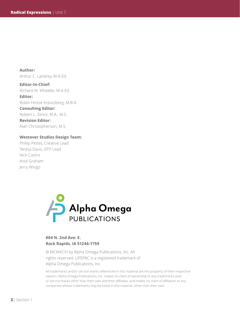**Author:**  Arthur C. Landrey, M.A.Ed.

**Editor-In-Chief:** Richard W. Wheeler, M.A.Ed. **Editor:** Robin Hintze Kreutzberg, M.B.A. **Consulting Editor:** Robert L. Zenor, M.A., M.S. **Revision Editor:** Alan Christopherson, M.S.

#### **Westover Studios Design Team:**

Phillip Pettet, Creative Lead Teresa Davis, DTP Lead Nick Castro Andi Graham Jerry Wingo



### **804 N. 2nd Ave. E. Rock Rapids, IA 51246-1759**

© MCMXCVI by Alpha Omega Publications, Inc. All rights reserved. LIFEPAC is a registered trademark of Alpha Omega Publications, Inc.

All trademarks and/or service marks referenced in this material are the property of their respective owners. Alpha Omega Publications, Inc. makes no claim of ownership to any trademarks and/ or service marks other than their own and their affiliates, and makes no claim of affiliation to any companies whose trademarks may be listed in this material, other than their own.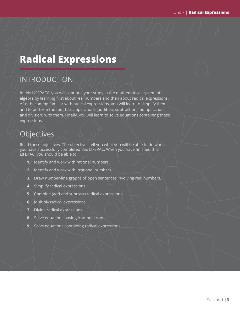# **Radical Expressions**

## INTRODUCTION

In this LIFEPAC® you will continue your study in the mathematical system of algebra by learning first about real numbers and then about radical expressions. After becoming familiar with radical expressions, you will learn to simplify them and to perform the four basic operations (addition, subtraction, multiplication, and division) with them. Finally, you will learn to solve equations containing these expressions.

## **Objectives**

Read these objectives. The objectives tell you what you will be able to do when you have successfully completed this LIFEPAC. When you have finished this LIFEPAC, you should be able to:

- **1.** Identify and work with rational numbers.
- **2.** Identify and work with irrational numbers.
- **3.** Draw number-line graphs of open sentences involving real numbers.
- **4.** Simplify radical expressions.
- **5.** Combine (add and subtract) radical expressions.
- **6.** Multiply radical expressions.
- **7.** Divide radical expressions.
- **8.** Solve equations having irrational roots.
- **9.** Solve equations containing radical expressions.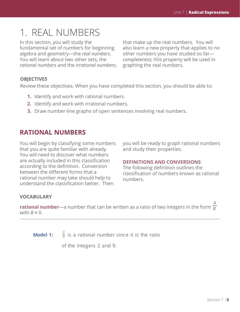# 1. REAL NUMBERS

In this section, you will study the fundamental set of numbers for beginning algebra and geometry—the *real numbers*. You will learn about two other sets, the *rational numbers* and the *irrational numbers*, that make up the real numbers. You will also learn a new property that applies to no other numbers you have studied so far *completeness*; this property will be used in graphing the real numbers.

### **OBJECTIVES**

Review these objectives. When you have completed this section, you should be able to:

- **1.** Identify and work with rational numbers.
- **2.** Identify and work with irrational numbers.
- **3.** Draw number-line graphs of open sentences involving real numbers.

### **RATIONAL NUMBERS**

You will begin by classifying some numbers that you are quite familiar with already. You will need to discover what numbers are actually included in this classification according to the definition. Conversion between the different forms that a rational number may take should help to understand the classification better. Then

you will be ready to graph rational numbers and study their properties.

### **DEFINITIONS AND CONVERSIONS**

The following definition outlines the classification of numbers known as rational numbers.

### **VOCABULARY**

**rational number**—a number that can be written as a ratio of two integers in the form *A B* with  $B \neq 0$ .

**Model 1:**  $\frac{2}{9}$  is a rational number since it is the ratio 9

of the integers 2 and 9.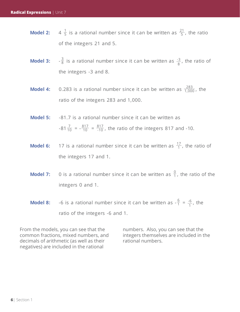- **Model 2:**  $4\frac{1}{5}$  is a rational number since it can be written as  $\frac{21}{5}$ , the ratio of the integers 21 and 5. 5 1 5
- **Model 3:**  $-\frac{3}{8}$  is a rational number since it can be written as  $\frac{-3}{8}$ , the ratio of the integers -3 and 8. 8 3 8
- **Model 4:** 0.283 is a rational number since it can be written as  $\frac{283}{1,000}$ , the ratio of the integers 283 and 1,000. 1,000
- **Model 5:** -81.7 is a rational number since it can be written as  $-81\frac{7}{10}$  =  $-\frac{817}{10}$  =  $\frac{817}{10}$ , the ratio of the integers 817 and -10. -10 817 10 7 10
- **Model 6:** 17 is a rational number since it can be written as  $\frac{17}{1}$ , the ratio of the integers 17 and 1. 1
- **Model 7:** 0 is a rational number since it can be written as  $\frac{0}{1}$ , the ratio of the integers 0 and 1. 1
- **Model 8:** -6 is a rational number since it can be written as  $-\frac{6}{1} = -\frac{6}{4}$ , the ratio of the integers -6 and 1. 1 6 1

From the models, you can see that the common fractions, mixed numbers, and decimals of arithmetic (as well as their negatives) are included in the rational

numbers. Also, you can see that the integers themselves are included in the rational numbers.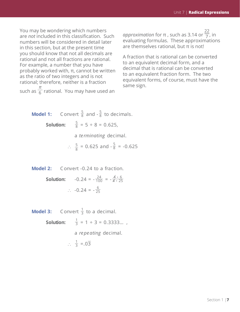You may be wondering which numbers are *not* included in this classification. Such numbers will be considered in detail later in this section, but at the present time you should know that not all decimals are rational and not all fractions are rational. For example, a number that you have probably worked with, π, cannot be written as the ratio of two integers and is not rational; therefore, neither is a fraction such as *π*  $\overline{6}$  rational. You may have used an

*approximation* for π , such as 3.14 or 22  $\frac{1}{7}$ , in evaluating formulas. These approximations are themselves rational, but π is not!

A fraction that is rational can be converted to an equivalent decimal form, and a decimal that is rational can be converted to an equivalent fraction form. The two equivalent forms, of course, must have the same sign.

**Model 1:** Convert  $\frac{5}{8}$  and  $-\frac{5}{8}$  to decimals. **Solution:**  $\frac{5}{8} = 5 \div 8 = 0.625$ , a *terminating* decimal.  $\frac{5}{8}$  = 0.625 and  $\frac{5}{8}$  = -0.625 8 5 8 8 8 5 8

**Model 2:** Convert -0.24 to a fraction.

**Solution:** 
$$
-0.24 = -\frac{24}{100} = -\frac{4 \cdot 6}{4 \cdot 25}
$$
  
 $\therefore -0.24 = -\frac{6}{25}$ 

Model 3: Convert 
$$
\frac{1}{3}
$$
 to a decimal.  
\nSolution:  $\frac{1}{3} = 1 \div 3 = 0.3333...$ ,  
\na repeating decimal.  
\n $\therefore \frac{1}{3} = .0\overline{3}$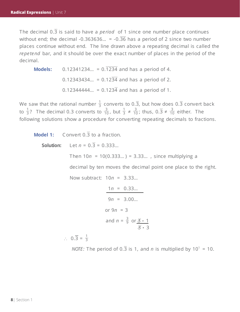The decimal 0.3 is said to have a *period* of 1 since one number place continues without end; the decimal -0.363636... =  $-0.\overline{36}$  has a period of 2 since two number places continue without end. The line drawn above a repeating decimal is called the *repetend* bar, and it should be over the exact number of places in the period of the decimal.

**Models:** 0.12341234... =  $0.\overline{1234}$  and has a period of 4. 0.12343434... =  $0.12\overline{34}$  and has a period of 2.  $0.12344444... = 0.123\overline{4}$  and has a period of 1.

We saw that the rational number  $\frac{1}{3}$  converts to 0.3, but how does 0.3 convert back to  $\frac{1}{3}$ ? The decimal 0.3 converts to  $\frac{3}{10}$ , but  $\frac{1}{3} \neq \frac{3}{10}$ ; thus, 0. $\frac{1}{3} \neq \frac{3}{10}$  either. The following solutions show a procedure for converting repeating decimals to fractions. 10 3 10 1 3 3 10 1 3 3

- **Model 1:** Convert 0.3 to a fraction.
	- **Solution:** Let  $n = 0.\overline{3} = 0.333...$ Then  $10n = 10(0.333...) = 3.33...$ , since multiplying a decimal by ten moves the decimal point one place to the right. Now subtract: 10*n* = 3.33… 1*n* = 0.33… 9*n* = 3.00… or 9*n* = 3 and  $n = \frac{3}{9}$  or  $3 \cdot 1$ 3 • 3  $0.\overline{3} = \frac{1}{3}$ 3 3 9

*NOTE:* The period of 0.3 is 1, and *n* is multiplied by  $10^1 = 10$ .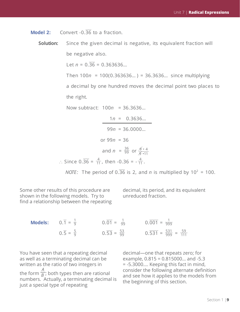**Model 2:** Convert -0.36 to a fraction.

**Solution:** Since the given decimal is negative, its equivalent fraction will be negative also.

 $let n = 0.\overline{36} = 0.363636...$ 

Then 100*n* = 100(0.363636… ) = 36.3636… since multiplying

a decimal by one hundred moves the decimal point two places to the right.

Now subtract: 100*n* = 36.3636…

1*n* = 0.3636…  $99n = 36.0000...$ or 99*n* = 36 and  $n = \frac{36}{99}$  or  $\frac{3 \cdot 4}{6 \cdot 11}$ Since  $0.\overline{36} = \frac{4}{11}$ , then -0.36 =  $-\frac{4}{11}$ . 9 •11 11 4 11 36 99

*NOTE:* The period of 0.36 is 2, and *n* is multiplied by  $10^2 = 100$ .

Some other results of this procedure are shown in the following models. Try to find a relationship between the repeating decimal, its period, and its equivalent unreduced fraction.

| <b>Models:</b> $0.\overline{1} = \frac{1}{9}$ |                                | $0.\overline{01} = \frac{1}{99}$  | $0.\overline{001} = \frac{1}{999}$                    |
|-----------------------------------------------|--------------------------------|-----------------------------------|-------------------------------------------------------|
|                                               | $0.\overline{5} = \frac{5}{9}$ | $0.\overline{53} = \frac{53}{99}$ | $0.\overline{531} = \frac{531}{999} = \frac{59}{111}$ |

You have seen that a repeating decimal as well as a terminating decimal can be written as the ratio of two integers in the form *A*  $\overline{B}$ ; both types then are rational numbers. Actually, a terminating decimal is just a special type of repeating

decimal—one that repeats zero; for example,  $0.815 = 0.815000...$  and  $-5.3$ = -5.3000…. Keeping this fact in mind, consider the following alternate definition and see how it applies to the models from the beginning of this section.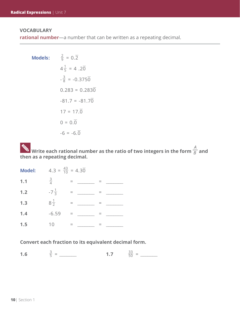### **VOCABULARY**

**rational number**—a number that can be written as a repeating decimal.

**Models:** 
$$
\frac{2}{9} = 0.\overline{2}
$$
  
\n $4\frac{1}{5} = 4.2\overline{0}$   
\n $-\frac{3}{8} = -0.375\overline{0}$   
\n $0.283 = 0.283\overline{0}$   
\n $-81.7 = -81.7\overline{0}$   
\n $17 = 17.\overline{0}$   
\n $0 = 0.\overline{0}$   
\n $-6 = -6.\overline{0}$ 

 **Write each rational number as the ratio of two integers in the form**  *A*  $\overline{B}$  and **then as a repeating decimal.**

| <b>Model:</b> | $4.3 = \frac{43}{10} = 4.30$ |     |  |  |
|---------------|------------------------------|-----|--|--|
| 1.1           | $rac{3}{4}$                  | $=$ |  |  |
| 1.2           | $-7\frac{1}{3}$              | $=$ |  |  |
| 1.3           | $8\frac{1}{2}$               | $=$ |  |  |
| 1.4           | $-6.59$                      | $=$ |  |  |
| 1.5           | 10                           | $=$ |  |  |

### **Convert each fraction to its equivalent decimal form.**

**1.6**  $\frac{3}{5} =$   $\frac{3}{5} =$  **1.7**  $\frac{33}{50} =$  <u>\_\_\_\_\_\_</u> 3 5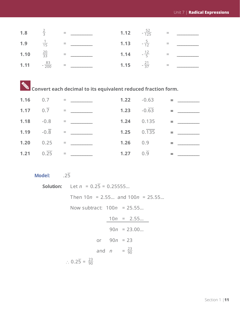**Convert each decimal to its equivalent reduced fraction form.** 

|                                 |                                    |                       | $1.22 \t -0.63 =$                |
|---------------------------------|------------------------------------|-----------------------|----------------------------------|
|                                 | $1.17 \t 0.\overline{7} = \t 1.17$ |                       |                                  |
|                                 | $1.18 - 0.8 =$                     |                       |                                  |
|                                 | 1.19 $-0.\overline{8}$ =           |                       | <b>1.25</b> $0.\overline{135}$ = |
|                                 | $1.20 \t 0.25 = \t 2.25$           |                       | $1.26 \t 0.9 =$                  |
| <b>1.21</b> $0.\overline{25}$ = |                                    | 1.27 $0.\overline{9}$ |                                  |

### **Model:** .25

**Solution:** Let  $n = 0.2\overline{5} = 0.25555...$ Then 10*n* = 2.55… and 100*n* = 25.55… Now subtract: 100*n* = 25.55… 10*n* = 2.55… 90*n* = 23.00… or 90*n* = 23 and *n* =  $\frac{23}{90}$  $0.2\overline{5} = \frac{23}{90}$ 90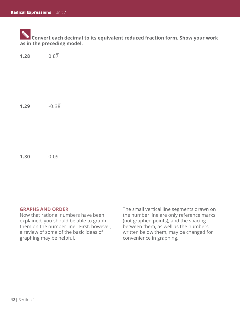

 **Convert each decimal to its equivalent reduced fraction form. Show your work as in the preceding model.**

**1.28**  $0.87$ **1.29** -0.38 **1.30**  $0.09$ 

### **GRAPHS AND ORDER**

Now that rational numbers have been explained, you should be able to graph them on the number line. First, however, a review of some of the basic ideas of graphing may be helpful.

The small vertical line segments drawn on the number line are only reference marks (not graphed points); and the spacing between them, as well as the numbers written below them, may be changed for convenience in graphing.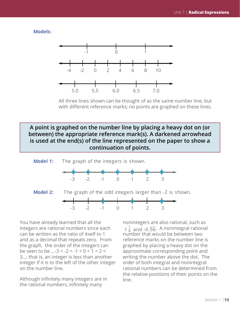**Models:**



All three lines shown can be thought of as the same number line, but with different reference marks; no points are graphed on these lines.

**A point is graphed on the number line by placing a heavy dot on (or between) the appropriate reference mark(s). A darkened arrowhead is used at the end(s) of the line represented on the paper to show a continuation of points.**



You have already learned that all the integers are rational numbers since each can be written as the ratio of itself to 1 and as a decimal that repeats zero. From the graph, the order of the integers can be seen to be ...-3 < -2 < -1 <  $0 < 1 < 2 <$ 3…; that is, an integer is less than another integer if it is to the left of the other integer on the number line.

Although infinitely many integers are in the rational numbers, infinitely many

nonintegers are also rational, such as  $1\frac{1}{4}$  and -0.56. A nonintegral rational number that would be between two reference marks on the number line is graphed by placing a heavy dot on the approximate corresponding point and writing the number above the dot. The *order* of both integral and nonintegral rational numbers can be determined from the relative positions of their points on the line.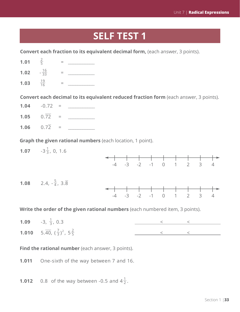## **SELF TEST 1**

**Convert each fraction to its equivalent decimal form,** (each answer, 3 points).

| 1.01 | $\frac{2}{5}$    | $=$ |  |
|------|------------------|-----|--|
| 1.02 | $-\frac{16}{33}$ |     |  |
| 1.03 | $\frac{19}{16}$  | $=$ |  |

**Convert each decimal to its equivalent reduced fraction form** (each answer, 3 points).

- $1.04$   $-0.72$  =
- **1.05**  $0.\overline{72} =$
- **1.06**  $0.7\overline{2}$  =

**Graph the given rational numbers** (each location, 1 point).

| <b>1.07</b> $-3\frac{1}{3}$ , 0, 1.6  |                               |  |  |  |  |
|---------------------------------------|-------------------------------|--|--|--|--|
|                                       |                               |  |  |  |  |
|                                       | $-4$ $-3$ $-2$ $-1$ 0 1 2 3 4 |  |  |  |  |
|                                       |                               |  |  |  |  |
|                                       |                               |  |  |  |  |
| <b>1.08</b> 2.4, $-\frac{5}{4}$ , 3.8 |                               |  |  |  |  |
|                                       |                               |  |  |  |  |
|                                       | $-4$ $-3$ $-2$ $-1$ 0 1 2 3 4 |  |  |  |  |

**Write the order of the given rational numbers** (each numbered item, 3 points).

| <b>1.09</b> $-3, \frac{1}{3}, 0.3$                     |  |  |
|--------------------------------------------------------|--|--|
| <b>1.010</b> 5.40, $(\frac{7}{3})^2$ , 5 $\frac{2}{5}$ |  |  |

**Find the rational number** (each answer, 3 points).

**1.011** One-sixth of the way between 7 and 16.

**1.012** 0.8 of the way between -0.5 and  $4\frac{1}{2}$ .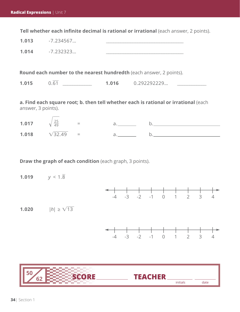**Tell whether each infinite decimal is rational or irrational** (each answer, 2 points).

| 1.013 | $-7.234567$ |  |
|-------|-------------|--|
| 1.014 | $-7.232323$ |  |

**Round each number to the nearest hundredth** (each answer, 2 points).

**1.015** 0.61 \_\_\_\_\_\_\_\_\_\_\_\_ **1.016** 0.292292229… \_\_\_\_\_\_\_\_\_\_\_\_

**a. Find each square root; b. then tell whether each is rational or irrational** (each answer, 3 points).

| 1.017 | $\frac{25}{49}$ | $\overline{\phantom{0}}$  |  |
|-------|-----------------|---------------------------|--|
| 1.018 | $\sqrt{32.49}$  | $\mathbf{r} = \mathbf{r}$ |  |

**Draw the graph of each condition** (each graph, 3 points).